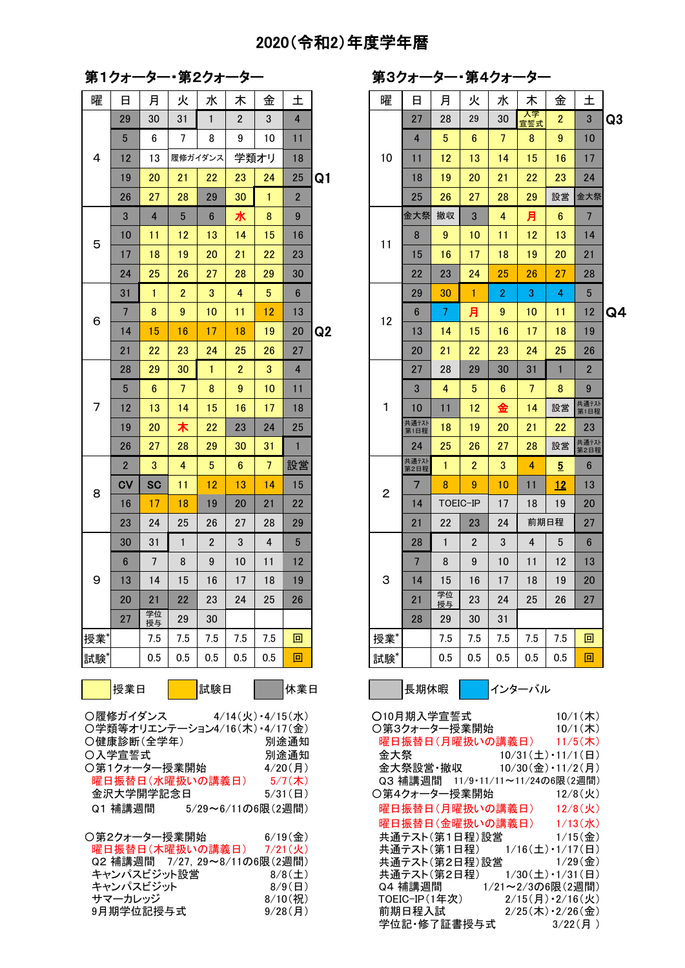## 2020(令和2)年度学年暦

第1クォーター・第2クォーター

曜 ┃ 日 │ 月 │ 火 │ 水 │ 木 │ 金 │ 土 │ │ │ ┃ 曜 ┃ 日 │ 月 │ 火 │ 水 │ 木 │ 金 │ 土 19 20 木 22 23 24 25  $\frac{1}{25}$  大通元 2 3 4 5 6 7 設営 まんちゅうしょう まんのうちょう はんきょう 20 21 22 23 24 25 26  $\vert$  21  $\vert$   $\frac{21}{45}$ 27 学位  $\mathbb{R}^{\frac{2N}{2}}$  29 30 30  $\vert$  28  $\vert$  28  $\vert$  29  $\vert$  30  $\vert$  31 授業\*| | 7.5 | 7.5 | 7.5 | 7.5 <mark>| 回 |</mark> | |授業\*| | 7.5 | 7.5 | 7.5 | 7.5 <mark>| 回</mark> 試験\*| | 0.5 | 0.5 | 0.5 | 0.5 <mark>| 0.5 | 回 |</mark> | 試験\*| | 0.5 | 0.5 | 0.5 | 0.5 <mark>| 回 </mark> 授業日 試験日 休業日 長期休暇 インターバル ○履修ガイダンス 4/14(火)・4/15(水)  $O$ 学類等オリエンテーション4/16(木) · 4/17(金) 〇健康診断(全学年) 別途通知 曜日振替日(月曜扱いの講義日) 11/5(木) 〇入学宣誓式 2001年 - 別途通知 〇第1クォーター授業開始 4/20(月) 曜日振替日(水曜扱いの講義日) 5/7(木) 金沢大学開学記念日 5/31(日) Q1 補講週間 5/29~6/11の6限(2週間) ○第2クォーター授業開始 6/19(金) 5 6 7 8 9  $3 \mid 4$ 5 6 7 8 9 10 11 4  $29$  30 31 1 2 履修ガイダンス 学類オリ

| 曜日振替日(木曜扱いの講義日) 7/21(火)      |                       |
|------------------------------|-----------------------|
| Q2 補講週間 7/27.29~8/11の6限(2週間) |                       |
| キャンパスビジット設営                  | 8/8(1)                |
| キャンパスビジット                    | $8/9$ ( $\boxminus$ ) |
| サマーカレッジ                      | $8/10$ (祝)            |
| 9月期学位記授与式                    | $9/28$ (月)            |
|                              |                       |

第3クォーター・第4クォーター

| u               |                |                | オーノク           | ╭               |                |                 |    | <i>ᅎ</i> ៴ ୵ ୵ |                |                         | л.             | т <i>у 1</i> , |                 |                 |                  |                |
|-----------------|----------------|----------------|----------------|-----------------|----------------|-----------------|----|----------------|----------------|-------------------------|----------------|----------------|-----------------|-----------------|------------------|----------------|
| 日               | 月              | 火              | 水              | 木               | 金              | 土               |    | 曜              | 日              | 月                       | 火              | 水              | 木               | 金               | 土                |                |
| 29              | 30             | 31             | $\mathbf{1}$   | $\overline{2}$  | 3              | $\overline{4}$  |    |                | 27             | 28                      | 29             | 30             | 入学<br>宣誓式       | $\overline{2}$  | $\mathfrak{3}$   | Q3             |
| $5\phantom{.0}$ | 6              | 7              | 8              | 9               | 10             | 11              |    |                | $\overline{4}$ | $\overline{5}$          | $6\phantom{1}$ | $\overline{7}$ | 8               | 9               | 10               |                |
| 12              | 13             |                | 履修ガイダンス        |                 | 学類オリ           | 18              |    | 10             | 11             | 12                      | 13             | 14             | 15              | 16              | 17               |                |
| 19              | 20             | 21             | 22             | 23              | 24             | 25              | Q1 |                | 18             | 19                      | 20             | 21             | 22              | 23              | 24               |                |
| 26              | 27             | 28             | 29             | 30              | 1              | $\overline{2}$  |    |                | 25             | 26                      | 27             | 28             | 29              | 設営              | 金大祭              |                |
| 3               | $\overline{4}$ | 5              | $6\phantom{1}$ | 水               | 8              | $9\,$           |    |                | 金大祭            | 撤収                      | 3              | $\overline{4}$ | 月               | $6\phantom{1}6$ | $\overline{7}$   |                |
| 10              | 11             | 12             | 13             | 14              | 15             | 16              |    | 11             | 8              | $\boldsymbol{9}$        | 10             | 11             | 12              | 13              | 14               |                |
| 17              | 18             | 19             | 20             | 21              | 22             | 23              |    |                | 15             | 16                      | 17             | 18             | 19              | 20              | 21               |                |
| 24              | 25             | 26             | 27             | 28              | 29             | 30              |    |                | 22             | 23                      | 24             | 25             | 26              | 27              | 28               |                |
| 31              | $\mathbf{1}$   | $\overline{2}$ | 3              | 4               | $\overline{5}$ | $\bf 6$         |    |                | 29             | 30                      | $\mathbf{1}$   | $\overline{2}$ | 3               | 4               | 5                |                |
| $\overline{7}$  | 8              | $\overline{9}$ | 10             | 11              | 12             | 13              |    | 12             | $6\phantom{1}$ | $\overline{7}$          | 月              | $9\,$          | 10              | 11              | 12               | Q <sub>4</sub> |
| 14              | 15             | 16             | 17             | 18              | 19             | 20              | Q2 |                | 13             | 14                      | 15             | 16             | 17              | 18              | 19               |                |
| 21              | 22             | 23             | 24             | 25              | 26             | 27              |    |                | 20             | 21                      | 22             | 23             | 24              | 25              | 26               |                |
| 28              | 29             | 30             | $\mathbf{1}$   | $\overline{2}$  | 3              | $\overline{4}$  |    |                | 27             | 28                      | 29             | 30             | 31              | $\mathbf{1}$    | $\overline{2}$   |                |
| $5\phantom{.0}$ | $6\phantom{1}$ | $\overline{7}$ | 8              | 9               | 10             | 11              |    |                | 3              | $\overline{\mathbf{4}}$ | $\overline{5}$ | $6\phantom{1}$ | $\overline{7}$  | 8               | $\boldsymbol{9}$ |                |
| 12              | 13             | 14             | 15             | 16              | 17             | 18              |    | $\mathbf{1}$   | 10             | 11                      | 12             | 金              | 14              | 設営              | 共通テスト<br>第1日程    |                |
| 19              | 20             | 木              | 22             | 23              | 24             | 25              |    |                | 共通テスト<br>第1日程  | 18                      | 19             | 20             | 21              | 22              | 23               |                |
| 26              | 27             | 28             | 29             | 30              | 31             | $\mathbf{1}$    |    |                | 24             | 25                      | 26             | 27             | 28              | 設営              | 共通テスト<br>第2日程    |                |
| $\overline{2}$  | 3              | $\overline{4}$ | $\overline{5}$ | $6\phantom{.}6$ | $\overline{7}$ | 設営              |    |                | 共通テスト<br>第2日程  | 1                       | $\overline{2}$ | 3              | 4               | $\overline{5}$  | $6\phantom{1}$   |                |
| C٧              | <b>SC</b>      | 11             | 12             | 13              | 14             | 15              |    | $\overline{2}$ | $\overline{7}$ | 8                       | 9              | 10             | 11              | 12              | 13               |                |
| 16              | 17             | 18             | 19             | 20              | 21             | 22              |    |                | 14             |                         | TOEIC-IP       | 17             | 18              | 19              | 20               |                |
| 23              | 24             | 25             | 26             | 27              | 28             | 29              |    |                | 21             | 22                      | 23             | 24             | 前期日程            |                 | 27               |                |
| 30              | 31             | $\mathbf{1}$   | $\overline{2}$ | 3               | 4              | $5\phantom{.0}$ |    |                | 28             | $\mathbf{1}$            | $\overline{2}$ | 3              | $\overline{4}$  | 5               | $6\phantom{1}$   |                |
| 6               | $\overline{7}$ | 8              | 9              | 10              | 11             | 12              |    |                | $\overline{7}$ | 8                       | 9              | 10             | 11              | 12              | 13               |                |
| 13              | 14             | 15             | 16             | 17              | 18             | 19              |    | 3              | 14             | 15                      | 16             | 17             | 18              | 19              | 20               |                |
| 20              | 21             | 22             | 23             | 24              | 25             | 26              |    |                | 21             | 学位<br>授与                | 23             | 24             | 25 <sub>2</sub> | 26              | 27               |                |
| 27              | 学位<br>授与       | 29             | 30             |                 |                |                 |    |                | 28             | 29                      | 30             | 31             |                 |                 |                  |                |
|                 | 7.5            | 7.5            | 7.5            | 7.5             | 7.5            | 回               |    | 授業*            |                | 7.5                     | 7.5            | 7.5            | 7.5             | 7.5             | 回                |                |
|                 | 0.5            | 0.5            | 0.5            | 0.5             | 0.5            | 回               |    | 試験*            |                | 0.5                     | 0.5            | 0.5            | 0.5             | 0.5             | 回                |                |
| 受業日             |                |                | 試験日            |                 |                | 休業日             |    |                | 長期休暇           |                         |                |                | インターバル          |                 |                  |                |

| ○履修ガイダンス 4/14(火)・4/15(水)      |                       | ○10月期入学官誓式 ろんちょう しんしょう                                      | $10/1($ 木)                                |
|-------------------------------|-----------------------|-------------------------------------------------------------|-------------------------------------------|
| ○学類等オリエンテーション4/16(木)・4/17(金)  |                       | 〇第3クォーター授業開始                                                | $10/1($ 木)                                |
| ○健康診断(全学年)                    | 別涂诵知                  | 曜日振替日(月曜扱いの講義日) 11/5(木)                                     |                                           |
| ○入学宣誓式                        | 別涂诵知                  | 金大祭 10/31(土) · 11/1(日)                                      |                                           |
| 〇第1クォーター授業開始                  | $4/20$ (月)            | 10/30(金) • 11/2(月)<br>金大祭設営・撤収                              |                                           |
| 曜日振替日(水曜扱いの講義日)               | $5/7$ (木)             | Q3 補講週間 - 11/9・11/11~11/24の6限(2週間)                          |                                           |
| 金沢大学開学記念日                     | $5/31$ ( $\Box$ )     | ○第4クォーター授業開始 12/8(火)                                        |                                           |
| Q1 補講调間<br>5/29~6/11の6限(2週間)  |                       | 曜日振替日(月曜扱いの講義日) 12/8(火)                                     |                                           |
|                               |                       | 曜日振替日(金曜扱いの講義日) ―                                           | $1/13($ 水                                 |
| ○第2クォーター授業開始                  | $6/19$ (金)            | 共通テスト(第1日程)設営                                               | $1/15$ ( $\Leftrightarrow$ )              |
| 曜日振替日(木曜扱いの講義日)               | $7/21$ (火)            | 共通テスト(第1日程) 1/16(土)・1/17(日)                                 |                                           |
| Q2 補講週間 7/27, 29~8/11の6限(2週間) |                       | 共通テスト(第2日程)設営                                               | $1/29$ ( 金 )                              |
| キャンパスビジット設営                   | 8/8(1)                | 共通テスト(第2日程) 1/30(土)・1/31(日)                                 |                                           |
| キャンパスビジット                     | $8/9$ ( $\boxminus$ ) |                                                             |                                           |
| サマーカレッジ                       | $8/10$ (祝)            | TOEIC-IP(1年次) $2/15(\overline{H}) \cdot 2/16(\overline{K})$ |                                           |
| 9月期学位記授与式                     | $9/28$ (月)            | 前期日程入試                                                      | $2/25(\pi) \cdot 2/26(\hat{\mathcal{F}})$ |
|                               |                       | 学位記・修了証書授与式                                                 | $3/22$ (月)                                |